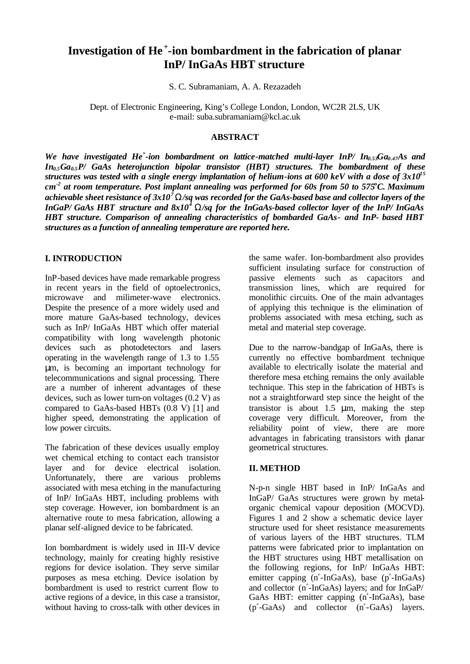# **Investigation of He <sup>+</sup> -ion bombardment in the fabrication of planar InP/ InGaAs HBT structure**

S. C. Subramaniam, A. A. Rezazadeh

Dept. of Electronic Engineering, King's College London, London, WC2R 2LS, UK e-mail: suba.subramaniam@kcl.ac.uk

#### **ABSTRACT**

*We have investigated He<sup>+</sup> -ion bombardment on lattice-matched multi-layer InP/ In0.53Ga0.47As and In0.5Ga0.5P/ GaAs heterojunction bipolar transistor (HBT) structures. The bombardment of these structures was tested with a single energy implantation of helium-ions at 600 keV with a dose of 3x10<sup>15</sup> cm -2 at room temperature. Post implant annealing was performed for 60s from 50 to 575<sup>o</sup>C. Maximum achievable sheet resistance of 3x10<sup>7</sup> W/sq was recorded for the GaAs-based base and collector layers of the InGaP/ GaAs HBT structure and 8x10<sup>4</sup> W/sq for the InGaAs-based collector layer of the InP/ InGaAs HBT structure. Comparison of annealing characteristics of bombarded GaAs- and InP- based HBT structures as a function of annealing temperature are reported here.*

## **I. INTRODUCTION**

InP-based devices have made remarkable progress in recent years in the field of optoelectronics, microwave and milimeter-wave electronics. Despite the presence of a more widely used and more mature GaAs-based technology, devices such as InP/ InGaAs HBT which offer material compatibility with long wavelength photonic devices such as photodetectors and lasers operating in the wavelength range of 1.3 to 1.55 μm, is becoming an important technology for telecommunications and signal processing. There are a number of inherent advantages of these devices, such as lower turn-on voltages (0.2 V) as compared to GaAs-based HBTs (0.8 V) [1] and higher speed, demonstrating the application of low power circuits.

The fabrication of these devices usually employ wet chemical etching to contact each transistor layer and for device electrical isolation. Unfortunately, there are various problems associated with mesa etching in the manufacturing of InP/ InGaAs HBT, including problems with step coverage. However, ion bombardment is an alternative route to mesa fabrication, allowing a planar self-aligned device to be fabricated.

Ion bombardment is widely used in III-V device technology, mainly for creating highly resistive regions for device isolation. They serve similar purposes as mesa etching. Device isolation by bombardment is used to restrict current flow to active regions of a device, in this case a transistor, without having to cross-talk with other devices in the same wafer. Ion-bombardment also provides sufficient insulating surface for construction of passive elements such as capacitors and transmission lines, which are required for monolithic circuits. One of the main advantages of applying this technique is the elimination of problems associated with mesa etching, such as metal and material step coverage.

Due to the narrow-bandgap of InGaAs, there is currently no effective bombardment technique available to electrically isolate the material and therefore mesa etching remains the only available technique. This step in the fabrication of HBTs is not a straightforward step since the height of the transistor is about 1.5 μm, making the step coverage very difficult. Moreover, from the reliability point of view, there are more advantages in fabricating transistors with planar geometrical structures.

# **II. METHOD**

N-p-n single HBT based in InP/ InGaAs and InGaP/ GaAs structures were grown by metalorganic chemical vapour deposition (MOCVD). Figures 1 and 2 show a schematic device layer structure used for sheet resistance measurements of various layers of the HBT structures. TLM patterns were fabricated prior to implantation on the HBT structures using HBT metallisation on the following regions, for InP/ InGaAs HBT: emitter capping  $(n^{\text{+}}$ -InGaAs), base  $(p^{\text{+}}$ -InGaAs) and collector (n<sup>+</sup>-InGaAs) layers; and for InGaP/ GaAs HBT: emitter capping (n<sup>+</sup>-InGaAs), base (p<sup>+</sup>-GaAs) and collector (n<sup>+</sup>-GaAs) layers.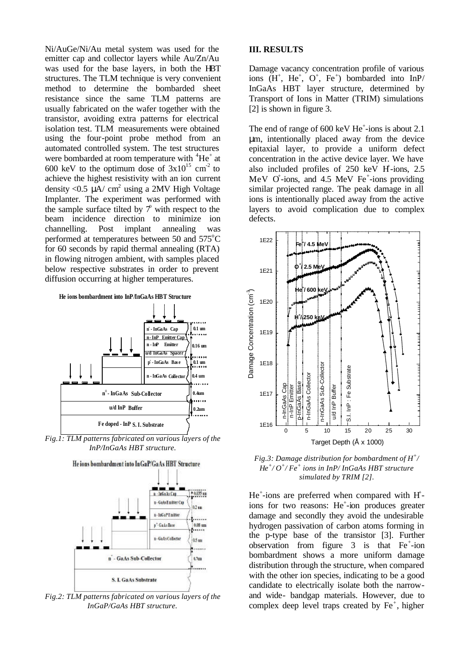Ni/AuGe/Ni/Au metal system was used for the emitter cap and collector layers while Au/Zn/Au was used for the base layers, in both the HBT structures. The TLM technique is very convenient method to determine the bombarded sheet resistance since the same TLM patterns are usually fabricated on the wafer together with the transistor, avoiding extra patterns for electrical isolation test. TLM measurements were obtained using the four-point probe method from an automated controlled system. The test structures were bombarded at room temperature with  ${}^{4}He^{+}$  at 600 keV to the optimum dose of  $3x10^{15}$  cm<sup>-2</sup> to achieve the highest resistivity with an ion current density <0.5  $\mu$ A/ cm<sup>2</sup> using a 2MV High Voltage Implanter. The experiment was performed with the sample surface tilted by  $\mathcal{T}$  with respect to the beam incidence direction to minimize ion channelling. Post implant annealing was performed at temperatures between 50 and  $575^{\circ}$ C for 60 seconds by rapid thermal annealing (RTA) in flowing nitrogen ambient, with samples placed below respective substrates in order to prevent diffusion occurring at higher temperatures.



*Fig.1: TLM patterns fabricated on various layers of the InP/InGaAs HBT structure.*



*Fig.2: TLM patterns fabricated on various layers of the InGaP/GaAs HBT structure.*

#### **III. RESULTS**

Damage vacancy concentration profile of various ions  $(H^+, He^+, O^+, Fe^+)$  bombarded into InP/ InGaAs HBT layer structure, determined by Transport of Ions in Matter (TRIM) simulations [2] is shown in figure 3.

The end of range of  $600 \text{ keV He}^+$ -ions is about 2.1 μm, intentionally placed away from the device epitaxial layer, to provide a uniform defect concentration in the active device layer. We have also included profiles of 250 keV H-ions, 2.5 MeV  $O^+$ -ions, and 4.5 MeV Fe<sup>+</sup>-ions providing similar projected range. The peak damage in all ions is intentionally placed away from the active layers to avoid complication due to complex defects.



*Fig.3: Damage distribution for bombardment of H<sup>+</sup> / He<sup>+</sup> / O<sup>+</sup> / Fe<sup>+</sup> ions in InP/ InGaAs HBT structure simulated by TRIM [2].*

 $He<sup>+</sup> - ions$  are preferred when compared with  $H<sup>+</sup>$ ions for two reasons: He<sup>+</sup>-ion produces greater damage and secondly they avoid the undesirable hydrogen passivation of carbon atoms forming in the p-type base of the transistor [3]. Further observation from figure  $3$  is that Fe<sup>+</sup>-ion bombardment shows a more uniform damage distribution through the structure, when compared with the other ion species, indicating to be a good candidate to electrically isolate both the narrowand wide- bandgap materials. However, due to complex deep level traps created by  $Fe<sup>+</sup>$ , higher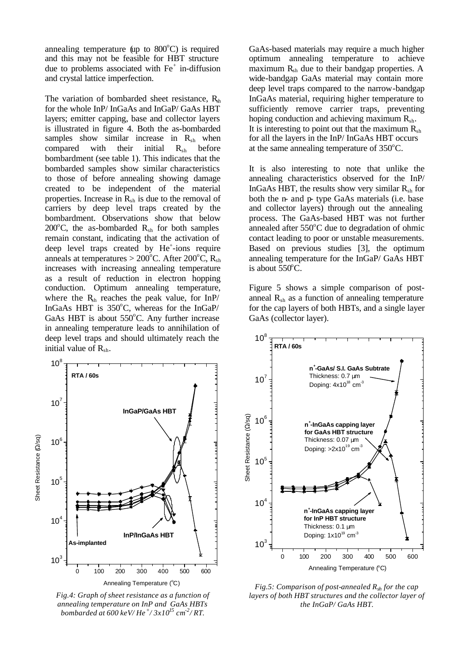annealing temperature (up to  $800^{\circ}$ C) is required and this may not be feasible for HBT structure due to problems associated with Fe<sup>+</sup> in-diffusion and crystal lattice imperfection.

The variation of bombarded sheet resistance,  $R_{sh}$ for the whole InP/ InGaAs and InGaP/ GaAs HBT layers; emitter capping, base and collector layers is illustrated in figure 4. Both the as-bombarded samples show similar increase in  $R_{sh}$  when compared with their initial  $R_{sh}$  before bombardment (see table 1). This indicates that the bombarded samples show similar characteristics to those of before annealing showing damage created to be independent of the material properties. Increase in  $R_{sh}$  is due to the removal of carriers by deep level traps created by the bombardment. Observations show that below 200 $^{\circ}$ C, the as-bombarded R<sub>sh</sub> for both samples remain constant, indicating that the activation of deep level traps created by He<sup>+</sup>-ions require anneals at temperatures  $> 200^{\circ}$ C. After 200<sup>°</sup>C, R<sub>sh</sub> increases with increasing annealing temperature as a result of reduction in electron hopping conduction. Optimum annealing temperature, where the  $R_{sh}$  reaches the peak value, for InP/ InGaAs HBT is  $350^{\circ}$ C, whereas for the InGaP/ GaAs HBT is about  $550^{\circ}$ C. Any further increase in annealing temperature leads to annihilation of deep level traps and should ultimately reach the initial value of  $R_{\rm sh}$ .



*Fig.4: Graph of sheet resistance as a function of annealing temperature on InP and GaAs HBTs bombarded at 600 keV/ He<sup>+</sup> / 3x10<sup>15</sup> cm -2 / RT.*

GaAs-based materials may require a much higher optimum annealing temperature to achieve maximum R<sub>sh</sub> due to their bandgap properties. A wide-bandgap GaAs material may contain more deep level traps compared to the narrow-bandgap InGaAs material, requiring higher temperature to sufficiently remove carrier traps, preventing hoping conduction and achieving maximum  $R_{sh}$ . It is interesting to point out that the maximum  $R_{sh}$ for all the layers in the InP/ InGaAs HBT occurs at the same annealing temperature of  $350^{\circ}$ C.

It is also interesting to note that unlike the annealing characteristics observed for the InP/ InGaAs HBT, the results show very similar  $R_{sh}$  for both the n- and p- type GaAs materials (i.e. base and collector layers) through out the annealing process. The GaAs-based HBT was not further annealed after  $550^{\circ}$ C due to degradation of ohmic contact leading to poor or unstable measurements. Based on previous studies [3], the optimum annealing temperature for the InGaP/ GaAs HBT is about  $550^{\circ}$ C.

Figure 5 shows a simple comparison of postanneal  $R_{sh}$  as a function of annealing temperature for the cap layers of both HBTs, and a single layer GaAs (collector layer).



*Fig.5: Comparison of post-annealed Rsh for the cap layers of both HBT structures and the collector layer of the InGaP/ GaAs HBT.*